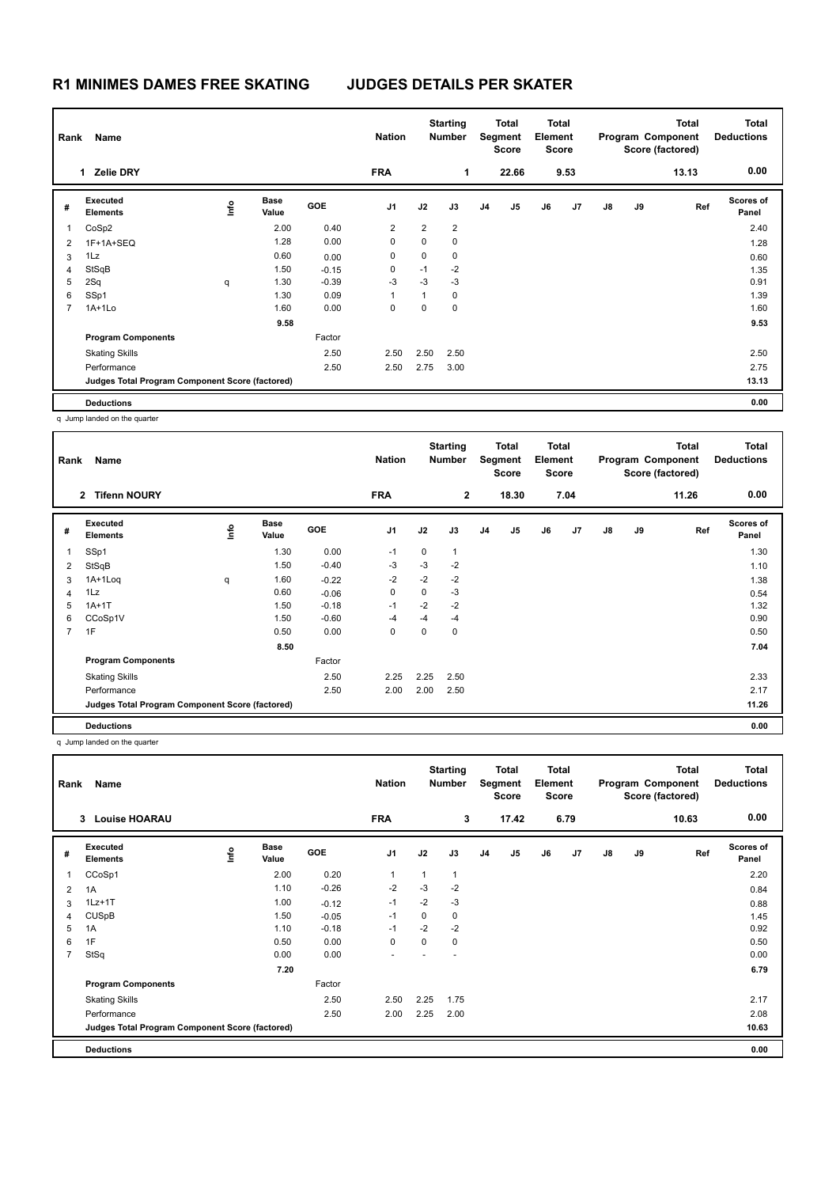## **R1 MINIMES DAMES FREE SKATING JUDGES DETAILS PER SKATER**

|                         | Name<br>Rank                                    |    |                      |            |                | <b>Starting</b><br><b>Nation</b><br><b>Number</b> |                | <b>Total</b><br>Segment<br><b>Score</b> |       | Total<br>Element<br><b>Score</b> |                | <b>Total</b><br>Program Component<br>Score (factored) |    |       | <b>Total</b><br><b>Deductions</b> |
|-------------------------|-------------------------------------------------|----|----------------------|------------|----------------|---------------------------------------------------|----------------|-----------------------------------------|-------|----------------------------------|----------------|-------------------------------------------------------|----|-------|-----------------------------------|
|                         | <b>Zelie DRY</b><br>1                           |    |                      |            | <b>FRA</b>     |                                                   | 1              |                                         | 22.66 |                                  | 9.53           |                                                       |    | 13.13 | 0.00                              |
| #                       | Executed<br><b>Elements</b>                     | ۴۵ | <b>Base</b><br>Value | <b>GOE</b> | J <sub>1</sub> | J2                                                | J3             | J4                                      | J5    | J6                               | J <sub>7</sub> | J8                                                    | J9 | Ref   | <b>Scores of</b><br>Panel         |
| $\overline{\mathbf{1}}$ | CoSp2                                           |    | 2.00                 | 0.40       | 2              | $\overline{2}$                                    | $\overline{2}$ |                                         |       |                                  |                |                                                       |    |       | 2.40                              |
| $\overline{2}$          | 1F+1A+SEQ                                       |    | 1.28                 | 0.00       | 0              | 0                                                 | 0              |                                         |       |                                  |                |                                                       |    |       | 1.28                              |
| 3                       | 1Lz                                             |    | 0.60                 | 0.00       | 0              | 0                                                 | 0              |                                         |       |                                  |                |                                                       |    |       | 0.60                              |
| $\overline{4}$          | StSqB                                           |    | 1.50                 | $-0.15$    | 0              | $-1$                                              | $-2$           |                                         |       |                                  |                |                                                       |    |       | 1.35                              |
| 5                       | 2Sq                                             | q  | 1.30                 | $-0.39$    | $-3$           | $-3$                                              | $-3$           |                                         |       |                                  |                |                                                       |    |       | 0.91                              |
| 6                       | SSp1                                            |    | 1.30                 | 0.09       | 1              | 1                                                 | 0              |                                         |       |                                  |                |                                                       |    |       | 1.39                              |
| 7                       | $1A+1Lo$                                        |    | 1.60                 | 0.00       | 0              | 0                                                 | 0              |                                         |       |                                  |                |                                                       |    |       | 1.60                              |
|                         |                                                 |    | 9.58                 |            |                |                                                   |                |                                         |       |                                  |                |                                                       |    |       | 9.53                              |
|                         | <b>Program Components</b>                       |    |                      | Factor     |                |                                                   |                |                                         |       |                                  |                |                                                       |    |       |                                   |
|                         | <b>Skating Skills</b>                           |    |                      | 2.50       | 2.50           | 2.50                                              | 2.50           |                                         |       |                                  |                |                                                       |    |       | 2.50                              |
|                         | Performance                                     |    |                      | 2.50       | 2.50           | 2.75                                              | 3.00           |                                         |       |                                  |                |                                                       |    |       | 2.75                              |
|                         | Judges Total Program Component Score (factored) |    |                      |            |                |                                                   |                |                                         |       |                                  |                |                                                       |    |       | 13.13                             |
|                         | <b>Deductions</b>                               |    |                      |            |                |                                                   |                |                                         |       |                                  |                |                                                       |    |       | 0.00                              |

q Jump landed on the quarter

| Rank           | Name                                            |                                  |               |            | <b>Nation</b>  |      | <b>Starting</b><br><b>Number</b> |    | <b>Total</b><br>Segment<br><b>Score</b> | Total<br>Element<br><b>Score</b> |                |    |    | <b>Total</b><br>Program Component<br>Score (factored) | <b>Total</b><br><b>Deductions</b> |
|----------------|-------------------------------------------------|----------------------------------|---------------|------------|----------------|------|----------------------------------|----|-----------------------------------------|----------------------------------|----------------|----|----|-------------------------------------------------------|-----------------------------------|
|                | <b>Tifenn NOURY</b><br>$\mathbf{2}$             |                                  |               |            | <b>FRA</b>     |      | $\overline{2}$                   |    | 18.30                                   |                                  | 7.04           |    |    | 11.26                                                 | 0.00                              |
| #              | Executed<br><b>Elements</b>                     | $\mathop{\mathsf{Irr}}\nolimits$ | Base<br>Value | <b>GOE</b> | J <sub>1</sub> | J2   | J3                               | J4 | J5                                      | J6                               | J <sub>7</sub> | J8 | J9 | Ref                                                   | <b>Scores of</b><br>Panel         |
|                | SSp1                                            |                                  | 1.30          | 0.00       | $-1$           | 0    | $\overline{1}$                   |    |                                         |                                  |                |    |    |                                                       | 1.30                              |
| 2              | StSqB                                           |                                  | 1.50          | $-0.40$    | $-3$           | $-3$ | $-2$                             |    |                                         |                                  |                |    |    |                                                       | 1.10                              |
| 3              | 1A+1Loq                                         | q                                | 1.60          | $-0.22$    | $-2$           | $-2$ | $-2$                             |    |                                         |                                  |                |    |    |                                                       | 1.38                              |
| 4              | 1Lz                                             |                                  | 0.60          | $-0.06$    | 0              | 0    | $-3$                             |    |                                         |                                  |                |    |    |                                                       | 0.54                              |
| 5              | $1A+1T$                                         |                                  | 1.50          | $-0.18$    | $-1$           | $-2$ | $-2$                             |    |                                         |                                  |                |    |    |                                                       | 1.32                              |
| 6              | CCoSp1V                                         |                                  | 1.50          | $-0.60$    | $-4$           | $-4$ | $-4$                             |    |                                         |                                  |                |    |    |                                                       | 0.90                              |
| $\overline{7}$ | 1F                                              |                                  | 0.50          | 0.00       | 0              | 0    | 0                                |    |                                         |                                  |                |    |    |                                                       | 0.50                              |
|                |                                                 |                                  | 8.50          |            |                |      |                                  |    |                                         |                                  |                |    |    |                                                       | 7.04                              |
|                | <b>Program Components</b>                       |                                  |               | Factor     |                |      |                                  |    |                                         |                                  |                |    |    |                                                       |                                   |
|                | <b>Skating Skills</b>                           |                                  |               | 2.50       | 2.25           | 2.25 | 2.50                             |    |                                         |                                  |                |    |    |                                                       | 2.33                              |
|                | Performance                                     |                                  |               | 2.50       | 2.00           | 2.00 | 2.50                             |    |                                         |                                  |                |    |    |                                                       | 2.17                              |
|                | Judges Total Program Component Score (factored) |                                  |               |            |                |      |                                  |    |                                         |                                  |                |    |    |                                                       | 11.26                             |
|                | <b>Deductions</b>                               |                                  |               |            |                |      |                                  |    |                                         |                                  |                |    |    |                                                       | 0.00                              |

q Jump landed on the quarter

| Rank           | Name                                            |      |                      |            | <b>Starting</b><br><b>Nation</b><br><b>Number</b> |      | <b>Total</b><br>Segment<br><b>Score</b> |                | <b>Total</b><br>Element<br><b>Score</b> |    | <b>Total</b><br>Program Component<br>Score (factored) |    |    | <b>Total</b><br><b>Deductions</b> |                           |
|----------------|-------------------------------------------------|------|----------------------|------------|---------------------------------------------------|------|-----------------------------------------|----------------|-----------------------------------------|----|-------------------------------------------------------|----|----|-----------------------------------|---------------------------|
|                | <b>Louise HOARAU</b><br>3                       |      |                      |            | <b>FRA</b>                                        |      | 3                                       |                | 17.42                                   |    | 6.79                                                  |    |    | 10.63                             | 0.00                      |
| #              | Executed<br><b>Elements</b>                     | Info | <b>Base</b><br>Value | <b>GOE</b> | J <sub>1</sub>                                    | J2   | J3                                      | J <sub>4</sub> | J <sub>5</sub>                          | J6 | J7                                                    | J8 | J9 | Ref                               | <b>Scores of</b><br>Panel |
| 1              | CCoSp1                                          |      | 2.00                 | 0.20       | $\mathbf{1}$                                      | 1    | $\mathbf{1}$                            |                |                                         |    |                                                       |    |    |                                   | 2.20                      |
| 2              | 1A                                              |      | 1.10                 | $-0.26$    | $-2$                                              | $-3$ | $-2$                                    |                |                                         |    |                                                       |    |    |                                   | 0.84                      |
| 3              | $1Lz+1T$                                        |      | 1.00                 | $-0.12$    | $-1$                                              | $-2$ | $-3$                                    |                |                                         |    |                                                       |    |    |                                   | 0.88                      |
| 4              | <b>CUSpB</b>                                    |      | 1.50                 | $-0.05$    | $-1$                                              | 0    | 0                                       |                |                                         |    |                                                       |    |    |                                   | 1.45                      |
| 5              | 1A                                              |      | 1.10                 | $-0.18$    | $-1$                                              | $-2$ | $-2$                                    |                |                                         |    |                                                       |    |    |                                   | 0.92                      |
| 6              | 1F                                              |      | 0.50                 | 0.00       | 0                                                 | 0    | 0                                       |                |                                         |    |                                                       |    |    |                                   | 0.50                      |
| $\overline{7}$ | StSq                                            |      | 0.00                 | 0.00       |                                                   |      |                                         |                |                                         |    |                                                       |    |    |                                   | 0.00                      |
|                |                                                 |      | 7.20                 |            |                                                   |      |                                         |                |                                         |    |                                                       |    |    |                                   | 6.79                      |
|                | <b>Program Components</b>                       |      |                      | Factor     |                                                   |      |                                         |                |                                         |    |                                                       |    |    |                                   |                           |
|                | <b>Skating Skills</b>                           |      |                      | 2.50       | 2.50                                              | 2.25 | 1.75                                    |                |                                         |    |                                                       |    |    |                                   | 2.17                      |
|                | Performance                                     |      |                      | 2.50       | 2.00                                              | 2.25 | 2.00                                    |                |                                         |    |                                                       |    |    |                                   | 2.08                      |
|                | Judges Total Program Component Score (factored) |      |                      |            |                                                   |      |                                         |                |                                         |    |                                                       |    |    |                                   | 10.63                     |
|                | <b>Deductions</b>                               |      |                      |            |                                                   |      |                                         |                |                                         |    |                                                       |    |    |                                   | 0.00                      |